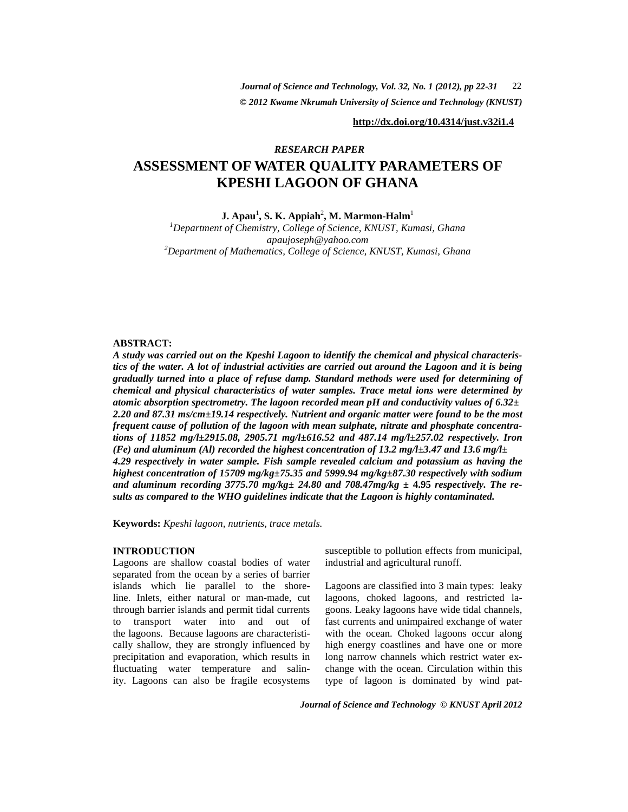*© 2012 Kwame Nkrumah University of Science and Technology (KNUST) Journal of Science and Technology, Vol. 32, No. 1 (2012), pp 22-31* 22

**http://dx.doi.org/10.4314/just.v32i1.4**

# **ASSESSMENT OF WATER QUALITY PARAMETERS OF KPESHI LAGOON OF GHANA**  *RESEARCH PAPER*

 $\mathbf{J.}\ \mathbf{A}\mathbf{p}\mathbf{a}\mathbf{u}^1,\ \mathbf{S.}\ \mathbf{K.}\ \mathbf{A}\mathbf{p}\mathbf{p}\mathbf{i}\mathbf{a}\mathbf{h}^2,\ \mathbf{M.}\ \mathbf{Marmon\text{-}Halm}^1$ 

*<sup>1</sup>Department of Chemistry, College of Science, KNUST, Kumasi, Ghana apaujoseph@yahoo.com <sup>2</sup>Department of Mathematics, College of Science, KNUST, Kumasi, Ghana* 

### **ABSTRACT:**

*A study was carried out on the Kpeshi Lagoon to identify the chemical and physical characteristics of the water. A lot of industrial activities are carried out around the Lagoon and it is being gradually turned into a place of refuse damp. Standard methods were used for determining of chemical and physical characteristics of water samples. Trace metal ions were determined by atomic absorption spectrometry. The lagoon recorded mean pH and conductivity values of 6.32***±**  *2.20 and 87.31 ms/cm***±***19.14 respectively. Nutrient and organic matter were found to be the most frequent cause of pollution of the lagoon with mean sulphate, nitrate and phosphate concentrations of 11852 mg/l***±***2915.08, 2905.71 mg/l***±***616.52 and 487.14 mg/l***±***257.02 respectively. Iron (Fe) and aluminum (Al) recorded the highest concentration of 13.2 mg/l* $\pm$ *3.47 and 13.6 mg/l* $\pm$ *4.29 respectively in water sample. Fish sample revealed calcium and potassium as having the highest concentration of 15709 mg/kg***±***75.35 and 5999.94 mg/kg***±***87.30 respectively with sodium*  and aluminum recording 3775.70 mg/kg $\pm$  24.80 and 708.47mg/kg  $\pm$  4.95 respectively. The re*sults as compared to the WHO guidelines indicate that the Lagoon is highly contaminated.* 

**Keywords:** *Kpeshi lagoon, nutrients, trace metals.*

## **INTRODUCTION**

Lagoons are shallow coastal bodies of water separated from the ocean by a series of barrier islands which lie parallel to the shoreline. Inlets, either natural or man-made, cut through barrier islands and permit tidal currents to transport water into and out of the lagoons. Because lagoons are characteristically shallow, they are strongly influenced by precipitation and evaporation, which results in fluctuating water temperature and salinity. Lagoons can also be fragile ecosystems

susceptible to pollution effects from municipal, industrial and agricultural runoff.

Lagoons are classified into 3 main types: leaky lagoons, choked lagoons, and restricted lagoons. Leaky lagoons have wide tidal channels, fast currents and unimpaired exchange of water with the ocean. Choked lagoons occur along high energy coastlines and have one or more long narrow channels which restrict water exchange with the ocean. Circulation within this type of lagoon is dominated by wind pat-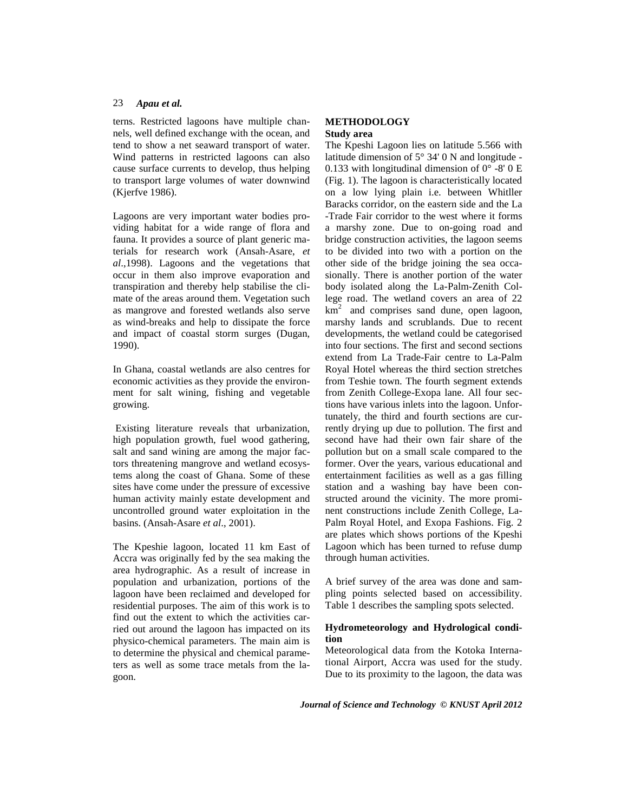terns. Restricted lagoons have multiple channels, well defined exchange with the ocean, and tend to show a net seaward transport of water. Wind patterns in restricted lagoons can also cause surface currents to develop, thus helping to transport large volumes of water downwind (Kjerfve 1986).

Lagoons are very important water bodies providing habitat for a wide range of flora and fauna. It provides a source of plant generic materials for research work (Ansah-Asare, *et al*.,1998). Lagoons and the vegetations that occur in them also improve evaporation and transpiration and thereby help stabilise the climate of the areas around them. Vegetation such as mangrove and forested wetlands also serve as wind-breaks and help to dissipate the force and impact of coastal storm surges (Dugan, 1990).

In Ghana, coastal wetlands are also centres for economic activities as they provide the environment for salt wining, fishing and vegetable growing.

 Existing literature reveals that urbanization, high population growth, fuel wood gathering, salt and sand wining are among the major factors threatening mangrove and wetland ecosystems along the coast of Ghana. Some of these sites have come under the pressure of excessive human activity mainly estate development and uncontrolled ground water exploitation in the basins. (Ansah-Asare *et al*., 2001).

The Kpeshie lagoon, located 11 km East of Accra was originally fed by the sea making the area hydrographic. As a result of increase in population and urbanization, portions of the lagoon have been reclaimed and developed for residential purposes. The aim of this work is to find out the extent to which the activities carried out around the lagoon has impacted on its physico-chemical parameters. The main aim is to determine the physical and chemical parameters as well as some trace metals from the lagoon.

## **METHODOLOGY Study area**

The Kpeshi Lagoon lies on latitude 5.566 with latitude dimension of 5° 34' 0 N and longitude - 0.133 with longitudinal dimension of  $0^{\circ}$  -8' 0 E (Fig. 1). The lagoon is characteristically located on a low lying plain i.e. between Whitller Baracks corridor, on the eastern side and the La -Trade Fair corridor to the west where it forms a marshy zone. Due to on-going road and bridge construction activities, the lagoon seems to be divided into two with a portion on the other side of the bridge joining the sea occasionally. There is another portion of the water body isolated along the La-Palm-Zenith College road. The wetland covers an area of 22  $km<sup>2</sup>$  and comprises sand dune, open lagoon, marshy lands and scrublands. Due to recent developments, the wetland could be categorised into four sections. The first and second sections extend from La Trade-Fair centre to La-Palm Royal Hotel whereas the third section stretches from Teshie town. The fourth segment extends from Zenith College-Exopa lane. All four sections have various inlets into the lagoon. Unfortunately, the third and fourth sections are currently drying up due to pollution. The first and second have had their own fair share of the pollution but on a small scale compared to the former. Over the years, various educational and entertainment facilities as well as a gas filling station and a washing bay have been constructed around the vicinity. The more prominent constructions include Zenith College, La-Palm Royal Hotel, and Exopa Fashions. Fig. 2 are plates which shows portions of the Kpeshi Lagoon which has been turned to refuse dump through human activities.

A brief survey of the area was done and sampling points selected based on accessibility. Table 1 describes the sampling spots selected.

## **Hydrometeorology and Hydrological condition**

Meteorological data from the Kotoka International Airport, Accra was used for the study. Due to its proximity to the lagoon, the data was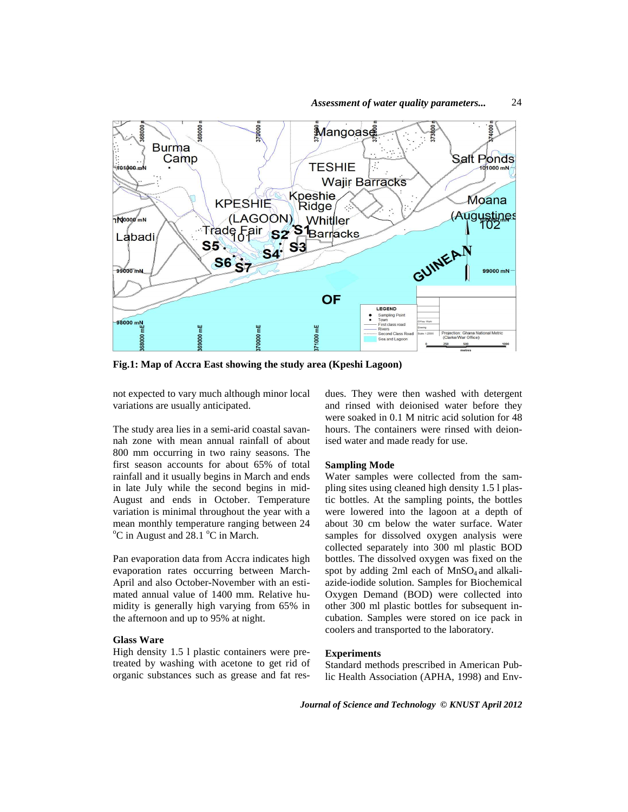

*Assessment of water quality parameters...* 24

**Fig.1: Map of Accra East showing the study area (Kpeshi Lagoon)** 

not expected to vary much although minor local variations are usually anticipated.

The study area lies in a semi-arid coastal savannah zone with mean annual rainfall of about 800 mm occurring in two rainy seasons. The first season accounts for about 65% of total rainfall and it usually begins in March and ends in late July while the second begins in mid-August and ends in October. Temperature variation is minimal throughout the year with a mean monthly temperature ranging between 24  $\rm{^{\circ}C}$  in August and 28.1  $\rm{^{\circ}C}$  in March.

Pan evaporation data from Accra indicates high evaporation rates occurring between March-April and also October-November with an estimated annual value of 1400 mm. Relative humidity is generally high varying from 65% in the afternoon and up to 95% at night.

### **Glass Ware**

High density 1.5 l plastic containers were pretreated by washing with acetone to get rid of organic substances such as grease and fat resdues. They were then washed with detergent and rinsed with deionised water before they were soaked in 0.1 M nitric acid solution for 48 hours. The containers were rinsed with deionised water and made ready for use.

### **Sampling Mode**

Water samples were collected from the sampling sites using cleaned high density 1.5 l plastic bottles. At the sampling points, the bottles were lowered into the lagoon at a depth of about 30 cm below the water surface. Water samples for dissolved oxygen analysis were collected separately into 300 ml plastic BOD bottles. The dissolved oxygen was fixed on the spot by adding 2ml each of  $MnSO<sub>4</sub>$  and alkaliazide-iodide solution. Samples for Biochemical Oxygen Demand (BOD) were collected into other 300 ml plastic bottles for subsequent incubation. Samples were stored on ice pack in coolers and transported to the laboratory.

### **Experiments**

Standard methods prescribed in American Public Health Association (APHA, 1998) and Env-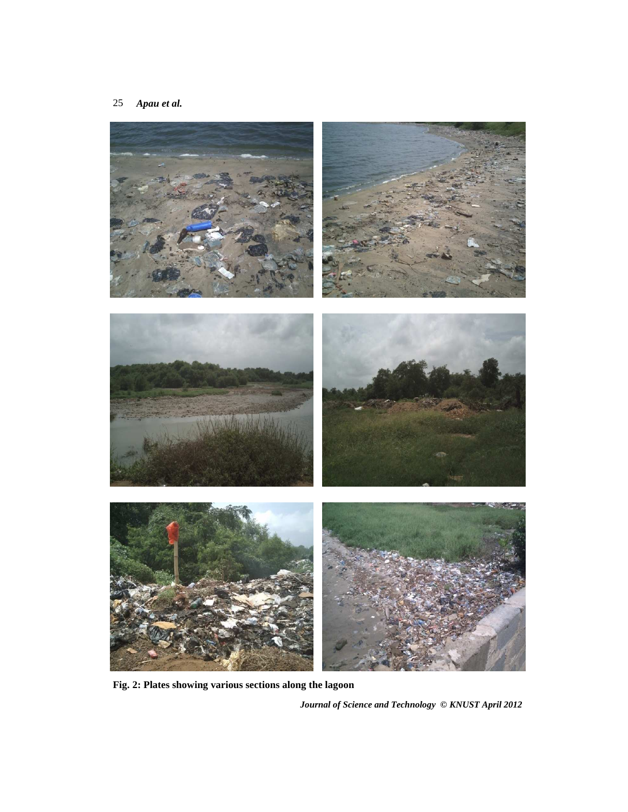

**Fig. 2: Plates showing various sections along the lagoon**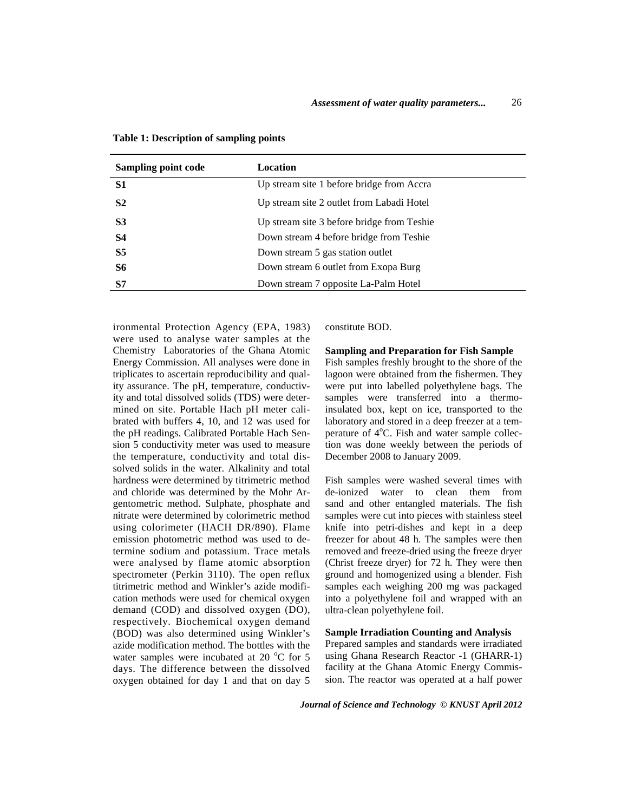| <b>Sampling point code</b> | Location                                   |
|----------------------------|--------------------------------------------|
| <b>S1</b>                  | Up stream site 1 before bridge from Accra  |
| S <sub>2</sub>             | Up stream site 2 outlet from Labadi Hotel  |
| S <sub>3</sub>             | Up stream site 3 before bridge from Teshie |
| <b>S4</b>                  | Down stream 4 before bridge from Teshie    |
| S <sub>5</sub>             | Down stream 5 gas station outlet           |
| S6                         | Down stream 6 outlet from Exopa Burg       |
| S7                         | Down stream 7 opposite La-Palm Hotel       |

**Table 1: Description of sampling points** 

ironmental Protection Agency (EPA, 1983) were used to analyse water samples at the Chemistry Laboratories of the Ghana Atomic Energy Commission. All analyses were done in triplicates to ascertain reproducibility and quality assurance. The pH, temperature, conductivity and total dissolved solids (TDS) were determined on site. Portable Hach pH meter calibrated with buffers 4, 10, and 12 was used for the pH readings. Calibrated Portable Hach Sension 5 conductivity meter was used to measure the temperature, conductivity and total dissolved solids in the water. Alkalinity and total hardness were determined by titrimetric method and chloride was determined by the Mohr Argentometric method. Sulphate, phosphate and nitrate were determined by colorimetric method using colorimeter (HACH DR/890). Flame emission photometric method was used to determine sodium and potassium. Trace metals were analysed by flame atomic absorption spectrometer (Perkin 3110). The open reflux titrimetric method and Winkler's azide modification methods were used for chemical oxygen demand (COD) and dissolved oxygen (DO), respectively. Biochemical oxygen demand (BOD) was also determined using Winkler's azide modification method. The bottles with the water samples were incubated at 20  $^{\circ}$ C for 5 days. The difference between the dissolved oxygen obtained for day 1 and that on day 5 constitute BOD.

**Sampling and Preparation for Fish Sample** 

Fish samples freshly brought to the shore of the lagoon were obtained from the fishermen. They were put into labelled polyethylene bags. The samples were transferred into a thermoinsulated box, kept on ice, transported to the laboratory and stored in a deep freezer at a temperature of  $4^{\circ}$ C. Fish and water sample collection was done weekly between the periods of December 2008 to January 2009.

Fish samples were washed several times with de-ionized water to clean them from sand and other entangled materials. The fish samples were cut into pieces with stainless steel knife into petri-dishes and kept in a deep freezer for about 48 h. The samples were then removed and freeze-dried using the freeze dryer (Christ freeze dryer) for 72 h. They were then ground and homogenized using a blender. Fish samples each weighing 200 mg was packaged into a polyethylene foil and wrapped with an ultra-clean polyethylene foil.

### **Sample Irradiation Counting and Analysis**

Prepared samples and standards were irradiated using Ghana Research Reactor -1 (GHARR-1) facility at the Ghana Atomic Energy Commission. The reactor was operated at a half power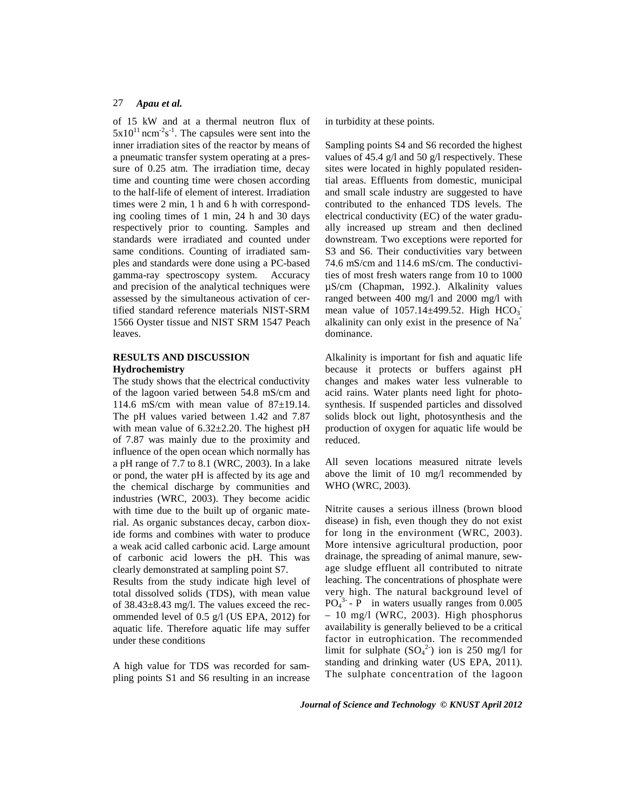of 15 kW and at a thermal neutron flux of  $5x10^{11}$  ncm<sup>-2</sup>s<sup>-1</sup>. The capsules were sent into the inner irradiation sites of the reactor by means of a pneumatic transfer system operating at a pressure of 0.25 atm. The irradiation time, decay time and counting time were chosen according to the half-life of element of interest. Irradiation times were 2 min, 1 h and 6 h with corresponding cooling times of 1 min, 24 h and 30 days respectively prior to counting. Samples and standards were irradiated and counted under same conditions. Counting of irradiated samples and standards were done using a PC-based gamma-ray spectroscopy system. Accuracy and precision of the analytical techniques were assessed by the simultaneous activation of certified standard reference materials NIST-SRM 1566 Oyster tissue and NIST SRM 1547 Peach leaves.

## **RESULTS AND DISCUSSION Hydrochemistry**

The study shows that the electrical conductivity of the lagoon varied between 54.8 mS/cm and 114.6 mS/cm with mean value of  $87\pm19.14$ . The pH values varied between 1.42 and 7.87 with mean value of 6.32±2.20. The highest pH of 7.87 was mainly due to the proximity and influence of the open ocean which normally has a pH range of 7.7 to 8.1 (WRC, 2003). In a lake or pond, the water pH is affected by its age and the chemical discharge by communities and industries (WRC, 2003). They become acidic with time due to the built up of organic material. As organic substances decay, carbon dioxide forms and combines with water to produce a weak acid called carbonic acid. Large amount of carbonic acid lowers the pH. This was clearly demonstrated at sampling point S7.

Results from the study indicate high level of total dissolved solids (TDS), with mean value of  $38.43 \pm 8.43$  mg/l. The values exceed the recommended level of 0.5 g/l (US EPA, 2012) for aquatic life. Therefore aquatic life may suffer under these conditions

A high value for TDS was recorded for sampling points S1 and S6 resulting in an increase in turbidity at these points.

Sampling points S4 and S6 recorded the highest values of 45.4 g/l and 50 g/l respectively. These sites were located in highly populated residential areas. Effluents from domestic, municipal and small scale industry are suggested to have contributed to the enhanced TDS levels. The electrical conductivity (EC) of the water gradually increased up stream and then declined downstream. Two exceptions were reported for S3 and S6. Their conductivities vary between 74.6 mS/cm and 114.6 mS/cm. The conductivities of most fresh waters range from 10 to 1000 µS/cm (Chapman, 1992.). Alkalinity values ranged between 400 mg/l and 2000 mg/l with mean value of  $1057.14 \pm 499.52$ . High  $HCO<sub>3</sub>$ alkalinity can only exist in the presence of Na<sup>+</sup> dominance.

Alkalinity is important for fish and aquatic life because it protects or buffers against pH changes and makes water less vulnerable to acid rains. Water plants need light for photosynthesis. If suspended particles and dissolved solids block out light, photosynthesis and the production of oxygen for aquatic life would be reduced.

All seven locations measured nitrate levels above the limit of 10 mg/l recommended by WHO (WRC, 2003).

Nitrite causes a serious illness (brown blood disease) in fish, even though they do not exist for long in the environment (WRC, 2003). More intensive agricultural production, poor drainage, the spreading of animal manure, sewage sludge effluent all contributed to nitrate leaching. The concentrations of phosphate were very high. The natural background level of  $PO<sub>4</sub><sup>3-</sup> - P$  in waters usually ranges from 0.005 – 10 mg/l (WRC, 2003). High phosphorus availability is generally believed to be a critical factor in eutrophication. The recommended limit for sulphate  $(SO<sub>4</sub><sup>2</sup>)$  ion is 250 mg/l for standing and drinking water (US EPA, 2011). The sulphate concentration of the lagoon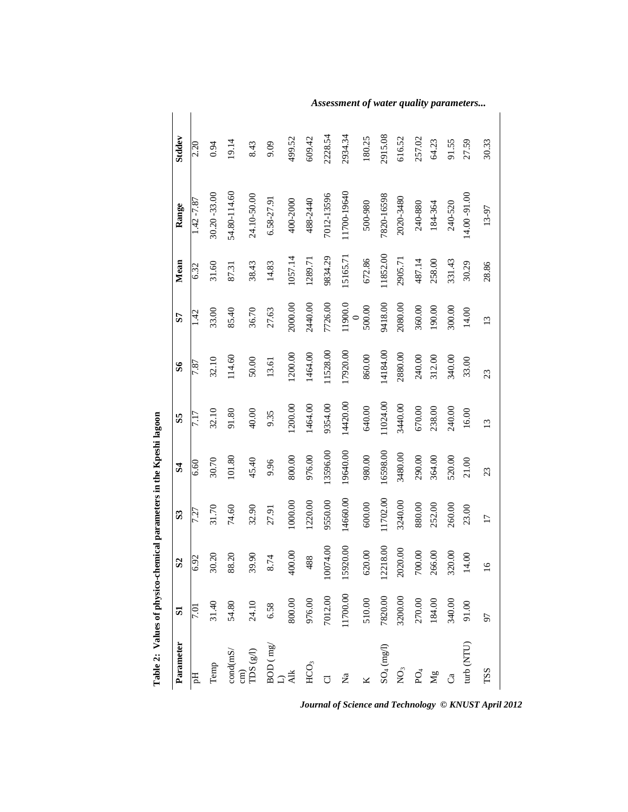| Table 2: Values of physico-chemical parameters in the Kpeshi lagoon |              |                |                         |              |                 |              |                    |          |               |                  |  |
|---------------------------------------------------------------------|--------------|----------------|-------------------------|--------------|-----------------|--------------|--------------------|----------|---------------|------------------|--|
| Parameter                                                           | $\mathbf{S}$ | $\mathbf{S}$   | $\overline{\mathbf{S}}$ | $\mathbf{S}$ | SS              | $\mathbf{S}$ | 57                 | Mean     | Range         | <b>Stddev</b>    |  |
| Hq                                                                  | 7.01         | $\frac{55}{2}$ | 7.27                    | 6.60         |                 | 7.87         | 14.<br>1           | 6.32     | $1.42 - 7.87$ | $\frac{2.20}{ }$ |  |
| Temp                                                                | 31.40        | 30.20          | 31.70                   | 30.70        | 32.10           | 32.10        | 33.00              | 31.60    | 30.20 - 33.00 | 0.94             |  |
| $\mbox{cond}(\mbox{mS}/% \mbox{mS})$                                | 54.80        | 88.20          | 74.60                   | 101.80       | 91.80           | 114.60       | 85.40              | 87.31    | 54.80-114.60  | 19.14            |  |
| cm) $\rm TDS\left(\rm g/l\right)$                                   | 24.10        | 39.90          | 32.90                   | 45.40        | 40.00           | 50.00        | 36.70              | 38.43    | 24.10-50.00   | 8.43             |  |
| $BOD$ (mg/                                                          | 6.58         | 8.74           | 27.91                   | 9.96         | 9.35            | 13.61        | 27.63              | 14.83    | 6.58-27.91    | 9.09             |  |
| い<br>こ                                                              | 800.00       | 400.00         | 1000.00                 | 800.00       | 1200.00         | 1200.00      | 2000.00            | 1057.14  | 400-2000      | 499.52           |  |
| HCO <sub>3</sub>                                                    | 976.00       | 488            | 1220.00                 | 976.00       | 1464.00         | 1464.00      | 2440.00            | 1289.71  | 488-2440      | 609.42           |  |
|                                                                     | 7012.00      | 10074.00       | 9550.00                 | 13596.00     | 9354.00         | 11528.00     | 7726.00            | 9834.29  | 7012-13596    | 2228.54          |  |
| Za                                                                  | 11700.00     | 15920.00       | 14660.00                | 19640.00     | 14420.00        | 17920.00     | 11900.0<br>$\circ$ | 15165.71 | 11700-19640   | 2934.34          |  |
|                                                                     | 510.00       | 620.00         | 600.00                  | 980.00       | 640.00          | 860.00       | 500.00             | 672.86   | 500-980       | 180.25           |  |
| $SO_4$ (mg/l)                                                       | 7820.00      | 12218.00       | 11702.00                | 16598.00     | 11024.00        | 14184.00     | 9418.00            | 11852.00 | 7820-16598    | 2915.08          |  |
| $\rm \stackrel{\textstyle >}{\textstyle \sim}$                      | 3200.00      | 2020.00        | 3240.00                 | 3480.00      | 3440.00         | 2880.00      | 2080.00            | 2905.71  | 2020-3480     | 616.52           |  |
| $PQ_4$                                                              | 270.00       | 700.00         | 880.00                  | 290.00       | 670.00          | 240.00       | 360.00             | 487.14   | 240-880       | 257.02           |  |
| Mg                                                                  | 184.00       | 266.00         | 252.00                  | 364.00       | 238.00          | 312.00       | 190.00             | 258.00   | 184-364       | 64.23            |  |
| ්                                                                   | 340.00       | 320.00         | 260.00                  | 520.00       | 240.00          | 340.00       | 300.00             | 331.43   | 240-520       | 91.55            |  |
| turb (NTU)                                                          | 91.00        | 14.00          | 23.00                   | 21.00        | 16.00           | 33.00        | 14.00              | 30.29    | 14.00 - 91.00 | 27.59            |  |
| TSS                                                                 | 56           | $\circ$        | $\overline{17}$         | 23           | $\overline{13}$ | 23           | 13                 | 28.86    | 13-97         | 30.33            |  |

*Assessment of water quality parameters...*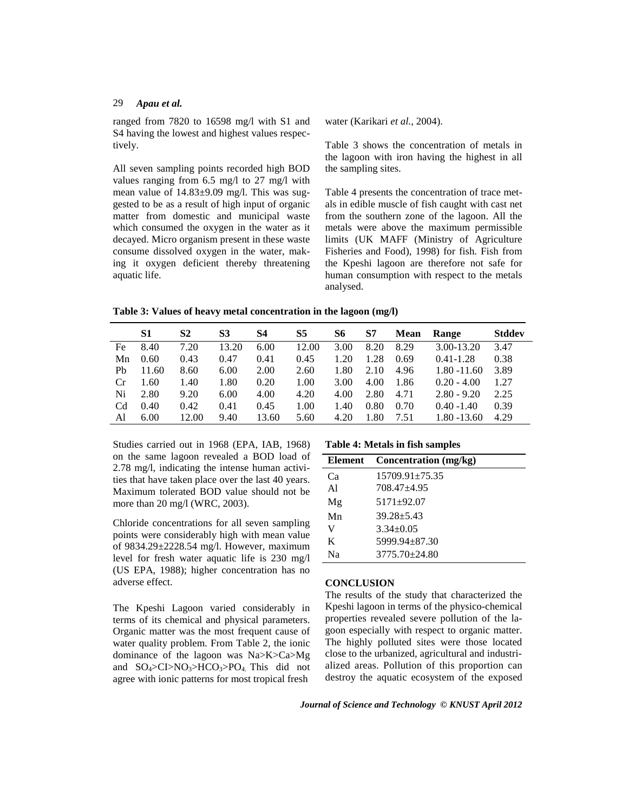ranged from 7820 to 16598 mg/l with S1 and S4 having the lowest and highest values respectively.

All seven sampling points recorded high BOD values ranging from 6.5 mg/l to 27 mg/l with mean value of 14.83±9.09 mg/l. This was suggested to be as a result of high input of organic matter from domestic and municipal waste which consumed the oxygen in the water as it decayed. Micro organism present in these waste consume dissolved oxygen in the water, making it oxygen deficient thereby threatening aquatic life.

water (Karikari *et al.*, 2004).

Table 3 shows the concentration of metals in the lagoon with iron having the highest in all the sampling sites.

Table 4 presents the concentration of trace metals in edible muscle of fish caught with cast net from the southern zone of the lagoon. All the metals were above the maximum permissible limits (UK MAFF (Ministry of Agriculture Fisheries and Food), 1998) for fish. Fish from the Kpeshi lagoon are therefore not safe for human consumption with respect to the metals analysed.

**Table 3: Values of heavy metal concentration in the lagoon (mg/l)** 

|    | S1    | S <sub>2</sub> | S3    | S4    | S5    | S6   | S7   | <b>Mean</b> | <b>Range</b>   | <b>Stddev</b> |
|----|-------|----------------|-------|-------|-------|------|------|-------------|----------------|---------------|
| Fe | 8.40  | 7.20           | 13.20 | 6.00  | 12.00 | 3.00 | 8.20 | 8.29        | 3.00-13.20     | 3.47          |
| Mn | 0.60  | 0.43           | 0.47  | 0.41  | 0.45  | 1.20 | 1.28 | 0.69        | $0.41 - 1.28$  | 0.38          |
| Ph | 11.60 | 8.60           | 6.00  | 2.00  | 2.60  | 1.80 | 2.10 | 4.96        | $1.80 - 11.60$ | 3.89          |
| Cr | 1.60  | 1.40           | 1.80  | 0.20  | 1.00  | 3.00 | 4.00 | 1.86        | $0.20 - 4.00$  | 1.27          |
| Ni | 2.80  | 9.20           | 6.00  | 4.00  | 4.20  | 4.00 | 2.80 | 4.71        | $2.80 - 9.20$  | 2.25          |
| Cd | 0.40  | 0.42           | 0.41  | 0.45  | 1.00  | 1.40 | 0.80 | 0.70        | $0.40 - 1.40$  | 0.39          |
| Al | 6.00  | 12.00          | 9.40  | 13.60 | 5.60  | 4.20 | 1.80 | 7.51        | $1.80 - 13.60$ | 4.29          |

Studies carried out in 1968 (EPA, IAB, 1968) on the same lagoon revealed a BOD load of 2.78 mg/l, indicating the intense human activities that have taken place over the last 40 years. Maximum tolerated BOD value should not be more than 20 mg/l (WRC, 2003).

Chloride concentrations for all seven sampling points were considerably high with mean value of 9834.29±2228.54 mg/l. However, maximum level for fresh water aquatic life is 230 mg/l (US EPA, 1988); higher concentration has no adverse effect.

The Kpeshi Lagoon varied considerably in terms of its chemical and physical parameters. Organic matter was the most frequent cause of water quality problem. From Table 2, the ionic dominance of the lagoon was Na>K>Ca>Mg and  $SO_4 > C1 > NO_3 > HCO_3 > PO_4$ . This did not agree with ionic patterns for most tropical fresh

**Table 4: Metals in fish samples**

| <b>Element</b> | Concentration (mg/kg) |
|----------------|-----------------------|
| Cа             | $15709.91 + 75.35$    |
| A1             | $708.47 + 4.95$       |
| Mg             | $5171 + 92.07$        |
| Mn             | $39.28 + 5.43$        |
| V              | $3.34 + 0.05$         |
| K              | 5999.94 + 87.30       |
| Nа             | $3775.70 \pm 24.80$   |
|                |                       |

### **CONCLUSION**

The results of the study that characterized the Kpeshi lagoon in terms of the physico-chemical properties revealed severe pollution of the lagoon especially with respect to organic matter. The highly polluted sites were those located close to the urbanized, agricultural and industrialized areas. Pollution of this proportion can destroy the aquatic ecosystem of the exposed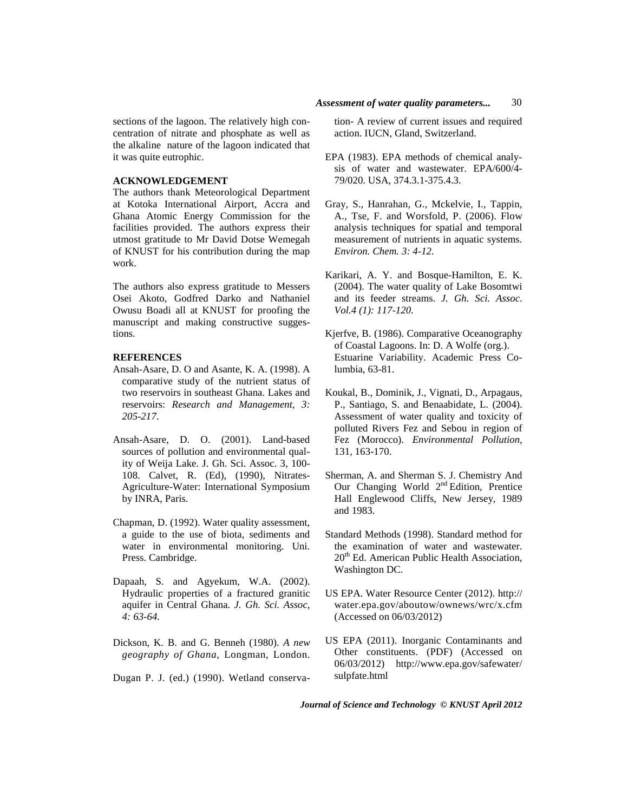### **ACKNOWLEDGEMENT**

The authors thank Meteorological Department at Kotoka International Airport, Accra and Ghana Atomic Energy Commission for the facilities provided. The authors express their utmost gratitude to Mr David Dotse Wemegah of KNUST for his contribution during the map work.

The authors also express gratitude to Messers Osei Akoto, Godfred Darko and Nathaniel Owusu Boadi all at KNUST for proofing the manuscript and making constructive suggestions.

### **REFERENCES**

- Ansah-Asare, D. O and Asante, K. A. (1998). A comparative study of the nutrient status of two reservoirs in southeast Ghana. Lakes and reservoirs: *Research and Management, 3: 205-217*.
- Ansah-Asare, D. O. (2001). Land-based sources of pollution and environmental quality of Weija Lake. J. Gh. Sci. Assoc. 3, 100- 108. Calvet, R. (Ed), (1990), Nitrates-Agriculture-Water: International Symposium by INRA, Paris.
- Chapman, D. (1992). Water quality assessment, a guide to the use of biota, sediments and water in environmental monitoring. Uni. Press. Cambridge.
- Dapaah, S. and Agyekum, W.A. (2002). Hydraulic properties of a fractured granitic aquifer in Central Ghana. *J. Gh. Sci. Assoc*, *4: 63-64.*
- Dickson, K. B. and G. Benneh (1980). *A new geography of Ghana*, Longman, London.

Dugan P. J. (ed.) (1990). Wetland conserva-

tion- A review of current issues and required action. IUCN, Gland, Switzerland.

- EPA (1983). EPA methods of chemical analysis of water and wastewater. EPA/600/4- 79/020. USA, 374.3.1-375.4.3.
- Gray, S., Hanrahan, G., Mckelvie, I., Tappin, A., Tse, F. and Worsfold, P. (2006). Flow analysis techniques for spatial and temporal measurement of nutrients in aquatic systems. *Environ. Chem. 3: 4-12.*
- Karikari, A. Y. and Bosque-Hamilton, E. K. (2004). The water quality of Lake Bosomtwi and its feeder streams. *J. Gh. Sci. Assoc*. *Vol.4 (1): 117-120.*
- Kjerfve, B. (1986). Comparative Oceanography of Coastal Lagoons. In: D. A Wolfe (org.). Estuarine Variability. Academic Press Columbia, 63-81.
- Koukal, B., Dominik, J., Vignati, D., Arpagaus, P., Santiago, S. and Benaabidate, L. (2004). Assessment of water quality and toxicity of polluted Rivers Fez and Sebou in region of Fez (Morocco). *Environmental Pollution,* 131, 163-170.
- Sherman, A. and Sherman S. J. Chemistry And Our Changing World 2<sup>nd</sup> Edition, Prentice Hall Englewood Cliffs, New Jersey, 1989 and 1983.
- Standard Methods (1998). Standard method for the examination of water and wastewater. 20<sup>th</sup> Ed. American Public Health Association, Washington DC.
- US EPA. Water Resource Center (2012). http:// water.epa.gov/aboutow/ownews/wrc/x.cfm (Accessed on 06/03/2012)
- US EPA (2011). Inorganic Contaminants and Other constituents. (PDF) (Accessed on 06/03/2012) http://www.epa.gov/safewater/ sulpfate.html